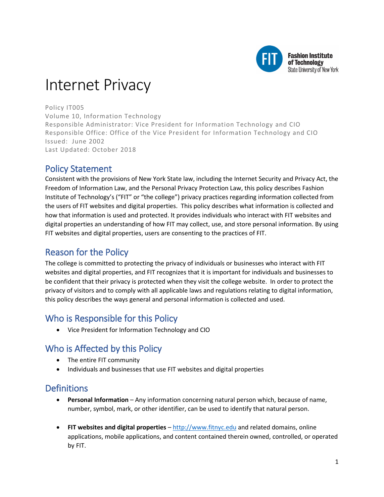

# Internet Privacy

Policy IT005 Volume 10, Information Technology Responsible Administrator: Vice President for Information Technology and CIO Responsible Office: Office of the Vice President for Information Technology and CIO Issued: June 2002 Last Updated: October 2018

## Policy Statement

Consistent with the provisions of New York State law, including the Internet Security and Privacy Act, the Freedom of Information Law, and the Personal Privacy Protection Law, this policy describes Fashion Institute of Technology's ("FIT" or "the college") privacy practices regarding information collected from the users of FIT websites and digital properties. This policy describes what information is collected and how that information is used and protected. It provides individuals who interact with FIT websites and digital properties an understanding of how FIT may collect, use, and store personal information. By using FIT websites and digital properties, users are consenting to the practices of FIT.

# Reason for the Policy

The college is committed to protecting the privacy of individuals or businesses who interact with FIT websites and digital properties, and FIT recognizes that it is important for individuals and businesses to be confident that their privacy is protected when they visit the college website. In order to protect the privacy of visitors and to comply with all applicable laws and regulations relating to digital information, this policy describes the ways general and personal information is collected and used.

# Who is Responsible for this Policy

• Vice President for Information Technology and CIO

# Who is Affected by this Policy

- The entire FIT community
- Individuals and businesses that use FIT websites and digital properties

# **Definitions**

- **Personal Information** Any information concerning natural person which, because of name, number, symbol, mark, or other identifier, can be used to identify that natural person.
- **FIT websites and digital properties**  [http://www.fitnyc.edu](http://www.fitnyc.edu/) and related domains, online applications, mobile applications, and content contained therein owned, controlled, or operated by FIT.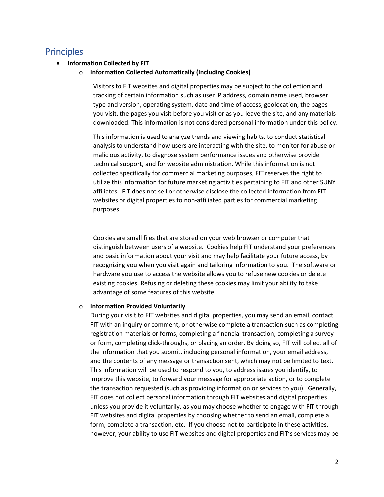### **Principles**

#### • **Information Collected by FIT**

o **Information Collected Automatically (Including Cookies)**

Visitors to FIT websites and digital properties may be subject to the collection and tracking of certain information such as user IP address, domain name used, browser type and version, operating system, date and time of access, geolocation, the pages you visit, the pages you visit before you visit or as you leave the site, and any materials downloaded. This information is not considered personal information under this policy.

This information is used to analyze trends and viewing habits, to conduct statistical analysis to understand how users are interacting with the site, to monitor for abuse or malicious activity, to diagnose system performance issues and otherwise provide technical support, and for website administration. While this information is not collected specifically for commercial marketing purposes, FIT reserves the right to utilize this information for future marketing activities pertaining to FIT and other SUNY affiliates. FIT does not sell or otherwise disclose the collected information from FIT websites or digital properties to non-affiliated parties for commercial marketing purposes.

Cookies are small files that are stored on your web browser or computer that distinguish between users of a website. Cookies help FIT understand your preferences and basic information about your visit and may help facilitate your future access, by recognizing you when you visit again and tailoring information to you. The software or hardware you use to access the website allows you to refuse new cookies or delete existing cookies. Refusing or deleting these cookies may limit your ability to take advantage of some features of this website.

#### o **Information Provided Voluntarily**

During your visit to FIT websites and digital properties, you may send an email, contact FIT with an inquiry or comment, or otherwise complete a transaction such as completing registration materials or forms, completing a financial transaction, completing a survey or form, completing click-throughs, or placing an order. By doing so, FIT will collect all of the information that you submit, including personal information, your email address, and the contents of any message or transaction sent, which may not be limited to text. This information will be used to respond to you, to address issues you identify, to improve this website, to forward your message for appropriate action, or to complete the transaction requested (such as providing information or services to you). Generally, FIT does not collect personal information through FIT websites and digital properties unless you provide it voluntarily, as you may choose whether to engage with FIT through FIT websites and digital properties by choosing whether to send an email, complete a form, complete a transaction, etc. If you choose not to participate in these activities, however, your ability to use FIT websites and digital properties and FIT's services may be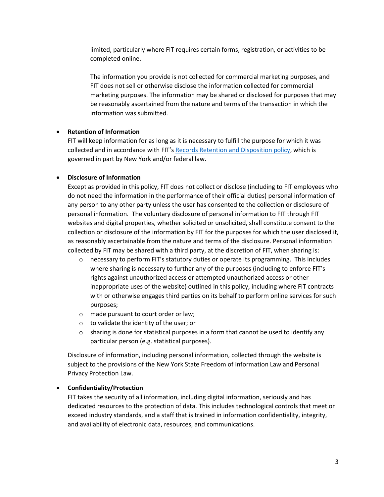limited, particularly where FIT requires certain forms, registration, or activities to be completed online.

The information you provide is not collected for commercial marketing purposes, and FIT does not sell or otherwise disclose the information collected for commercial marketing purposes. The information may be shared or disclosed for purposes that may be reasonably ascertained from the nature and terms of the transaction in which the information was submitted.

#### • **Retention of Information**

FIT will keep information for as long as it is necessary to fulfill the purpose for which it was collected and in accordance with FIT's [Records Retention and Disposition policy,](http://www.fitnyc.edu/policies/college/records-retention.php) which is governed in part by New York and/or federal law.

#### • **Disclosure of Information**

Except as provided in this policy, FIT does not collect or disclose (including to FIT employees who do not need the information in the performance of their official duties) personal information of any person to any other party unless the user has consented to the collection or disclosure of personal information. The voluntary disclosure of personal information to FIT through FIT websites and digital properties, whether solicited or unsolicited, shall constitute consent to the collection or disclosure of the information by FIT for the purposes for which the user disclosed it, as reasonably ascertainable from the nature and terms of the disclosure. Personal information collected by FIT may be shared with a third party, at the discretion of FIT, when sharing is:

- $\circ$  necessary to perform FIT's statutory duties or operate its programming. This includes where sharing is necessary to further any of the purposes (including to enforce FIT's rights against unauthorized access or attempted unauthorized access or other inappropriate uses of the website) outlined in this policy, including where FIT contracts with or otherwise engages third parties on its behalf to perform online services for such purposes;
- o made pursuant to court order or law;
- o to validate the identity of the user; or
- $\circ$  sharing is done for statistical purposes in a form that cannot be used to identify any particular person (e.g. statistical purposes).

Disclosure of information, including personal information, collected through the website is subject to the provisions of the New York State Freedom of Information Law and Personal Privacy Protection Law.

#### • **Confidentiality/Protection**

FIT takes the security of all information, including digital information, seriously and has dedicated resources to the protection of data. This includes technological controls that meet or exceed industry standards, and a staff that is trained in information confidentiality, integrity, and availability of electronic data, resources, and communications.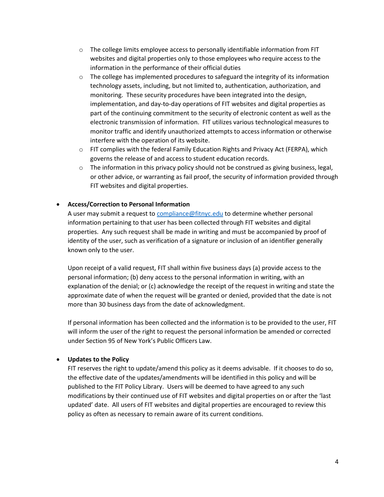- $\circ$  The college limits employee access to personally identifiable information from FIT websites and digital properties only to those employees who require access to the information in the performance of their official duties
- $\circ$  The college has implemented procedures to safeguard the integrity of its information technology assets, including, but not limited to, authentication, authorization, and monitoring. These security procedures have been integrated into the design, implementation, and day-to-day operations of FIT websites and digital properties as part of the continuing commitment to the security of electronic content as well as the electronic transmission of information. FIT utilizes various technological measures to monitor traffic and identify unauthorized attempts to access information or otherwise interfere with the operation of its website.
- $\circ$  FIT complies with the federal Family Education Rights and Privacy Act (FERPA), which governs the release of and access to student education records.
- $\circ$  The information in this privacy policy should not be construed as giving business, legal, or other advice, or warranting as fail proof, the security of information provided through FIT websites and digital properties.

#### • **Access/Correction to Personal Information**

A user may submit a request to [compliance@fitnyc.edu](mailto:compliance@fitnyc.edu) to determine whether personal information pertaining to that user has been collected through FIT websites and digital properties. Any such request shall be made in writing and must be accompanied by proof of identity of the user, such as verification of a signature or inclusion of an identifier generally known only to the user.

Upon receipt of a valid request, FIT shall within five business days (a) provide access to the personal information; (b) deny access to the personal information in writing, with an explanation of the denial; or (c) acknowledge the receipt of the request in writing and state the approximate date of when the request will be granted or denied, provided that the date is not more than 30 business days from the date of acknowledgment.

If personal information has been collected and the information is to be provided to the user, FIT will inform the user of the right to request the personal information be amended or corrected under Section 95 of New York's Public Officers Law.

#### • **Updates to the Policy**

FIT reserves the right to update/amend this policy as it deems advisable. If it chooses to do so, the effective date of the updates/amendments will be identified in this policy and will be published to the FIT Policy Library. Users will be deemed to have agreed to any such modifications by their continued use of FIT websites and digital properties on or after the 'last updated' date. All users of FIT websites and digital properties are encouraged to review this policy as often as necessary to remain aware of its current conditions.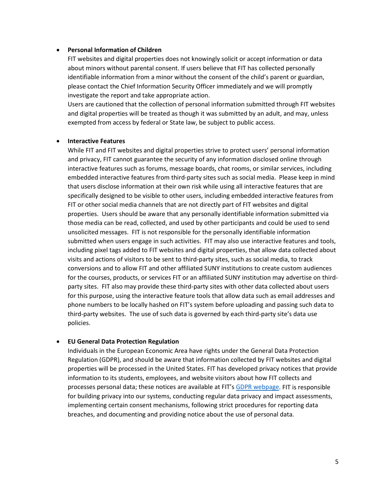#### • **Personal Information of Children**

FIT websites and digital properties does not knowingly solicit or accept information or data about minors without parental consent. If users believe that FIT has collected personally identifiable information from a minor without the consent of the child's parent or guardian, please contact the Chief Information Security Officer immediately and we will promptly investigate the report and take appropriate action.

Users are cautioned that the collection of personal information submitted through FIT websites and digital properties will be treated as though it was submitted by an adult, and may, unless exempted from access by federal or State law, be subject to public access.

#### • **Interactive Features**

While FIT and FIT websites and digital properties strive to protect users' personal information and privacy, FIT cannot guarantee the security of any information disclosed online through interactive features such as forums, message boards, chat rooms, or similar services, including embedded interactive features from third-party sites such as social media. Please keep in mind that users disclose information at their own risk while using all interactive features that are specifically designed to be visible to other users, including embedded interactive features from FIT or other social media channels that are not directly part of FIT websites and digital properties. Users should be aware that any personally identifiable information submitted via those media can be read, collected, and used by other participants and could be used to send unsolicited messages. FIT is not responsible for the personally identifiable information submitted when users engage in such activities. FIT may also use interactive features and tools, including pixel tags added to FIT websites and digital properties, that allow data collected about visits and actions of visitors to be sent to third-party sites, such as social media, to track conversions and to allow FIT and other affiliated SUNY institutions to create custom audiences for the courses, products, or services FIT or an affiliated SUNY institution may advertise on thirdparty sites. FIT also may provide these third-party sites with other data collected about users for this purpose, using the interactive feature tools that allow data such as email addresses and phone numbers to be locally hashed on FIT's system before uploading and passing such data to third-party websites. The use of such data is governed by each third-party site's data use policies.

#### • **EU General Data Protection Regulation**

Individuals in the European Economic Area have rights under the General Data Protection Regulation (GDPR), and should be aware that information collected by FIT websites and digital properties will be processed in the United States. FIT has developed privacy notices that provide information to its students, employees, and website visitors about how FIT collects and processes personal data; these notices are available at FIT's [GDPR webpage.](http://www.fitnyc.edu/policies/college/records-retention.php) FIT is responsible for building privacy into our systems, conducting regular data privacy and impact assessments, implementing certain consent mechanisms, following strict procedures for reporting data breaches, and documenting and providing notice about the use of personal data.